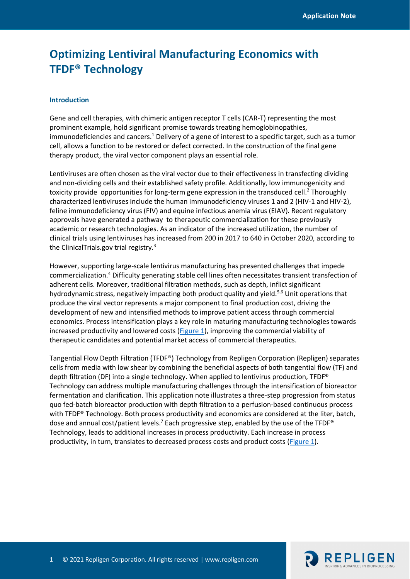# **Optimizing Lentiviral Manufacturing Economics with TFDF® Technology**

#### **Introduction**

Gene and cell therapies, with chimeric antigen receptor T cells (CAR-T) representing the most prominent example, hold significant promise towards treating hemoglobinopathies,  $immunodeficiencies and cancers.<sup>1</sup>$  Delivery of a gene of interest to a specific target, such as a tumor cell, allows a function to be restored or defect corrected. In the construction of the final gene therapy product, the viral vector component plays an essential role.

Lentiviruses are often chosen as the viral vector due to their effectiveness in transfecting dividing and non-dividing cells and their established safety profile. Additionally, low immunogenicity and toxicity provide opportunities for long-term gene expression in the transduced cell.<sup>2</sup> Thoroughly characterized lentiviruses include the human immunodeficiency viruses 1 and 2 (HIV-1 and HIV-2), feline immunodeficiency virus (FIV) and equine infectious anemia virus (EIAV). Recent regulatory approvals have generated a pathway to therapeutic commercialization for these previously academic or research technologies. As an indicator of the increased utilization, the number of clinical trials using lentiviruses has increased from 200 in 2017 to 640 in October 2020, according to the ClinicalTrials.gov trial registry.<sup>3</sup>

However, supporting large-scale lentivirus manufacturing has presented challenges that impede commercialization.4 Difficulty generating stable cell lines often necessitates transient transfection of adherent cells. Moreover, traditional filtration methods, such as depth, inflict significant hydrodynamic stress, negatively impacting both product quality and yield.<sup>5,6</sup> Unit operations that produce the viral vector represents a major component to final production cost, driving the development of new and intensified methods to improve patient access through commercial economics. Process intensification plays a key role in maturing manufacturing technologies towards increased productivity and lowered costs [\(Figure 1\)](#page-1-0), improving the commercial viability of therapeutic candidates and potential market access of commercial therapeutics.

Tangential Flow Depth Filtration (TFDF®) Technology from Repligen Corporation (Repligen) separates cells from media with low shear by combining the beneficial aspects of both tangential flow (TF) and depth filtration (DF) into a single technology. When applied to lentivirus production, TFDF® Technology can address multiple manufacturing challenges through the intensification of bioreactor fermentation and clarification. This application note illustrates a three-step progression from status quo fed-batch bioreactor production with depth filtration to a perfusion-based continuous process with TFDF<sup>®</sup> Technology. Both process productivity and economics are considered at the liter, batch, dose and annual cost/patient levels.<sup>7</sup> Each progressive step, enabled by the use of the TFDF<sup>®</sup> Technology, leads to additional increases in process productivity. Each increase in process productivity, in turn, translates to decreased process costs and product costs [\(Figure 1\)](#page-1-0).

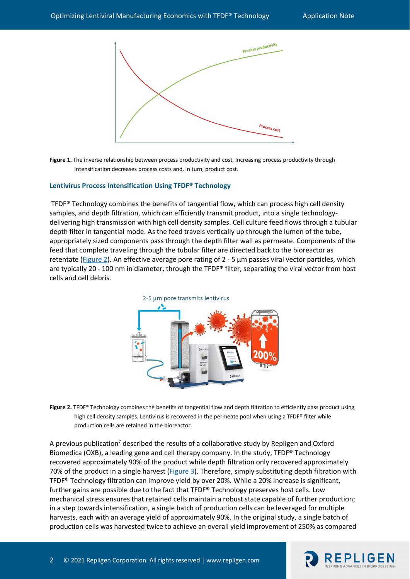

<span id="page-1-0"></span>Figure 1. The inverse relationship between process productivity and cost. Increasing process productivity through intensification decreases process costs and, in turn, product cost.

#### **Lentivirus Process Intensification Using TFDF® Technology**

TFDF $\degree$  Technology combines the benefits of tangential flow, which can process high cell density samples, and depth filtration, which can efficiently transmit product, into a single technologydelivering high transmission with high cell density samples. Cell culture feed flows through a tubular depth filter in tangential mode. As the feed travels vertically up through the lumen of the tube, appropriately sized components pass through the depth filter wall as permeate. Components of the feed that complete traveling through the tubular filter are directed back to the bioreactor as retentate [\(Figure 2\)](#page-1-1). An effective average pore rating of 2 - 5 µm passes viral vector particles, which are typically 20 - 100 nm in diameter, through the TFDF® filter, separating the viral vector from host cells and cell debris.



<span id="page-1-1"></span>**Figure 2.** TFDF® Technology combines the benefits of tangential flow and depth filtration to efficiently pass product using high cell density samples. Lentivirus is recovered in the permeate pool when using a TFDF® filter while production cells are retained in the bioreactor.

A previous publication<sup>7</sup> described the results of a collaborative study by Repligen and Oxford Biomedica (OXB), a leading gene and cell therapy company. In the study, TFDF® Technology recovered approximately 90% of the product while depth filtration only recovered approximately 70% of the product in a single harvest [\(Figure 3\)](#page-2-0). Therefore, simply substituting depth filtration with TFDF® Technology filtration can improve yield by over 20%. While a 20% increase is significant, further gains are possible due to the fact that TFDF® Technology preserves host cells. Low mechanical stress ensures that retained cells maintain a robust state capable of further production; in a step towards intensification, a single batch of production cells can be leveraged for multiple harvests, each with an average yield of approximately 90%. In the original study, a single batch of production cells was harvested twice to achieve an overall yield improvement of 250% as compared

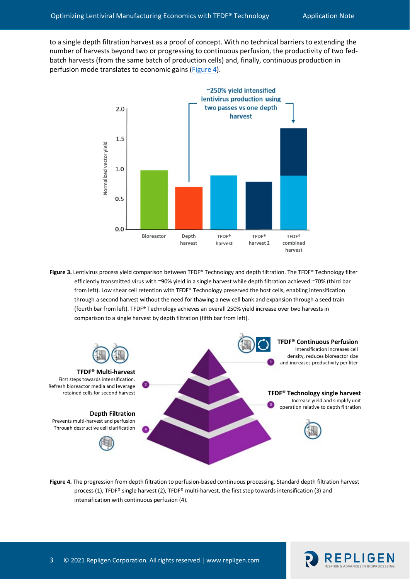to a single depth filtration harvest as a proof of concept. With no technical barriers to extending the number of harvests beyond two or progressing to continuous perfusion, the productivity of two fedbatch harvests (from the same batch of production cells) and, finally, continuous production in perfusion mode translates to economic gains [\(Figure 4\)](#page-2-1).



<span id="page-2-0"></span>**Figure 3.** Lentivirus process yield comparison between TFDF® Technology and depth filtration. The TFDF® Technology filter efficiently transmitted virus with ~90% yield in a single harvest while depth filtration achieved ~70% (third bar from left). Low shear cell retention with TFDF® Technology preserved the host cells, enabling intensification through a second harvest without the need for thawing a new cell bank and expansion through a seed train (fourth bar from left). TFDF® Technology achieves an overall 250% yield increase over two harvests in comparison to a single harvest by depth filtration (fifth bar from left).



<span id="page-2-1"></span>**Figure 4.** The progression from depth filtration to perfusion-based continuous processing. Standard depth filtration harvest process (1), TFDF® single harvest (2), TFDF® multi-harvest, the first step towards intensification (3) and intensification with continuous perfusion (4).

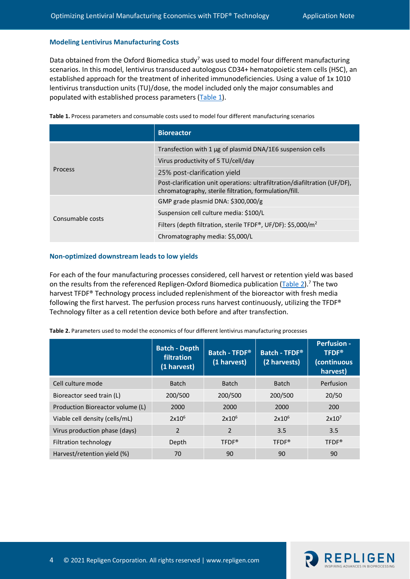#### **Modeling Lentivirus Manufacturing Costs**

Data obtained from the Oxford Biomedica study<sup>7</sup> was used to model four different manufacturing scenarios. In this model, lentivirus transduced autologous CD34+ hematopoietic stem cells (HSC), an established approach for the treatment of inherited immunodeficiencies. Using a value of 1x 1010 lentivirus transduction units (TU)/dose, the model included only the major consumables and populated with established process parameters [\(Table 1\)](#page-3-0).

<span id="page-3-0"></span>

|  |  |  | Table 1. Process parameters and consumable costs used to model four different manufacturing scenarios |
|--|--|--|-------------------------------------------------------------------------------------------------------|
|--|--|--|-------------------------------------------------------------------------------------------------------|

|                  | <b>Bioreactor</b>                                                                                                                   |
|------------------|-------------------------------------------------------------------------------------------------------------------------------------|
| <b>Process</b>   | Transfection with 1 µg of plasmid DNA/1E6 suspension cells                                                                          |
|                  | Virus productivity of 5 TU/cell/day                                                                                                 |
|                  | 25% post-clarification yield                                                                                                        |
|                  | Post-clarification unit operations: ultrafiltration/diafiltration (UF/DF),<br>chromatography, sterile filtration, formulation/fill. |
| Consumable costs | GMP grade plasmid DNA: $$300,000/g$                                                                                                 |
|                  | Suspension cell culture media: \$100/L                                                                                              |
|                  | Filters (depth filtration, sterile TFDF®, UF/DF): \$5,000/m <sup>2</sup>                                                            |
|                  | Chromatography media: \$5,000/L                                                                                                     |

#### **Non-optimized downstream leads to low yields**

For each of the four manufacturing processes considered, cell harvest or retention yield was based on the results from the referenced Repligen-Oxford Biomedica publication [\(Table 2\)](#page-3-1).<sup>7</sup> The two harvest TFDF® Technology process included replenishment of the bioreactor with fresh media following the first harvest. The perfusion process runs harvest continuously, utilizing the TFDF® Technology filter as a cell retention device both before and after transfection.

| <b>Table 2.</b> Parameters used to model the economics of four different lentivirus manufacturing processes |                                                   |                                     |                               |                                                               |  |  |
|-------------------------------------------------------------------------------------------------------------|---------------------------------------------------|-------------------------------------|-------------------------------|---------------------------------------------------------------|--|--|
|                                                                                                             | <b>Batch - Depth</b><br>filtration<br>(1 harvest) | <b>Batch - TFDF®</b><br>(1 harvest) | Batch - TFDF®<br>(2 harvests) | <b>Perfusion -</b><br><b>TFDF®</b><br>(continuous<br>harvest) |  |  |
| Cell culture mode                                                                                           | <b>Batch</b>                                      | <b>Batch</b>                        | <b>Batch</b>                  | Perfusion                                                     |  |  |
| Bioreactor seed train (L)                                                                                   | 200/500                                           | 200/500                             | 200/500                       | 20/50                                                         |  |  |
| Production Bioreactor volume (L)                                                                            | 2000                                              | 2000                                | 2000                          | 200                                                           |  |  |
| Viable cell density (cells/mL)                                                                              | $2x10^6$                                          | $2x10^6$                            | $2x10^6$                      | 2x10 <sup>7</sup>                                             |  |  |
| Virus production phase (days)                                                                               | $\overline{2}$                                    | 2                                   | 3.5                           | 3.5                                                           |  |  |
| Filtration technology                                                                                       | Depth                                             | TFDF <sup>®</sup>                   | TFDF <sup>®</sup>             | TFDF <sup>®</sup>                                             |  |  |

Harvest/retention yield (%) 70 90 90 90 90

<span id="page-3-1"></span>**Table 2.** Parameters used to model the economics of four different lentivirus manufacturing processes



**(continuous**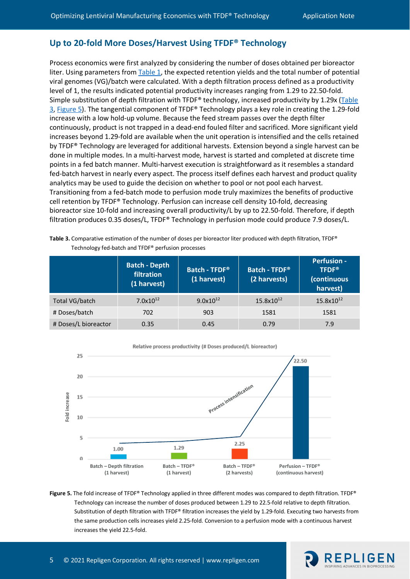# **Up to 20-fold More Doses/Harvest Using TFDF® Technology**

Process economics were first analyzed by considering the number of doses obtained per bioreactor liter. Using parameters from [Table 1,](#page-3-0) the expected retention yields and the total number of potential viral genomes (VG)/batch were calculated. With a depth filtration process defined as a productivity level of 1, the results indicated potential productivity increases ranging from 1.29 to 22.50-fold. Simple substitution of depth filtration with TFDF® technology, increased productivity by 1.29x [\(Table](#page-4-0)  [3,](#page-4-0) [Figure 5\)](#page-4-1). The tangential component of TFDF® Technology plays a key role in creating the 1.29-fold increase with a low hold-up volume. Because the feed stream passes over the depth filter continuously, product is not trapped in a dead-end fouled filter and sacrificed. More significant yield increases beyond 1.29-fold are available when the unit operation is intensified and the cells retained by TFDF® Technology are leveraged for additional harvests. Extension beyond a single harvest can be done in multiple modes. In a multi-harvest mode, harvest is started and completed at discrete time points in a fed batch manner. Multi-harvest execution is straightforward as it resembles a standard fed-batch harvest in nearly every aspect. The process itself defines each harvest and product quality analytics may be used to guide the decision on whether to pool or not pool each harvest. Transitioning from a fed-batch mode to perfusion mode truly maximizes the benefits of productive cell retention by TFDF® Technology. Perfusion can increase cell density 10-fold, decreasing bioreactor size 10-fold and increasing overall productivity/L by up to 22.50-fold. Therefore, if depth filtration produces 0.35 doses/L, TFDF® Technology in perfusion mode could produce 7.9 doses/L.

<span id="page-4-0"></span>

| Table 3. Comparative estimation of the number of doses per bioreactor liter produced with depth filtration, TFDF® |
|-------------------------------------------------------------------------------------------------------------------|
| Technology fed-batch and TFDF <sup>®</sup> perfusion processes                                                    |

|                      | <b>Batch - Depth</b><br>filtration<br>(1 harvest) | Batch - TFDF®<br>(1 harvest) | <b>Batch - TFDF®</b><br>(2 harvests) | <b>Perfusion -</b><br><b>TFDF®</b><br>(continuous<br>harvest) |
|----------------------|---------------------------------------------------|------------------------------|--------------------------------------|---------------------------------------------------------------|
| Total VG/batch       | $7.0x10^{12}$                                     | $9.0x10^{12}$                | $15.8x10^{12}$                       | $15.8x10^{12}$                                                |
| # Doses/batch        | 702                                               | 903                          | 1581                                 | 1581                                                          |
| # Doses/L bioreactor | 0.35                                              | 0.45                         | 0.79                                 | 7.9                                                           |



<span id="page-4-1"></span>**Figure 5.** The fold increase of TFDF® Technology applied in three different modes was compared to depth filtration. TFDF® Technology can increase the number of doses produced between 1.29 to 22.5-fold relative to depth filtration. Substitution of depth filtration with TFDF® filtration increases the yield by 1.29-fold. Executing two harvests from the same production cells increases yield 2.25-fold. Conversion to a perfusion mode with a continuous harvest increases the yield 22.5-fold.

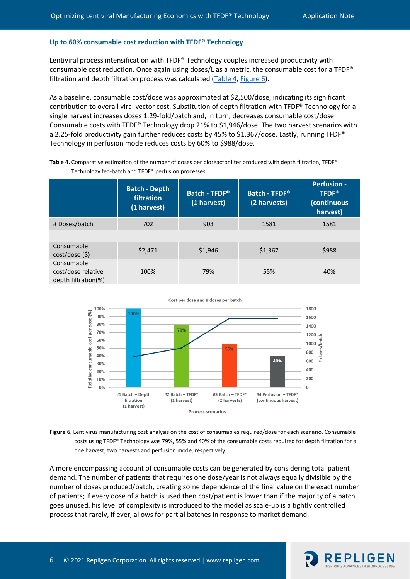### **Up to 60% consumable cost reduction with TFDF® Technology**

Lentiviral process intensification with TFDF® Technology couples increased productivity with consumable cost reduction. Once again using doses/L as a metric, the consumable cost for a TFDF® filtration and depth filtration process was calculated [\(Table 4,](#page-5-0) [Figure 6\)](#page-5-1).

As a baseline, consumable cost/dose was approximated at \$2,500/dose, indicating its significant contribution to overall viral vector cost. Substitution of depth filtration with TFDF® Technology for a single harvest increases doses 1.29-fold/batch and, in turn, decreases consumable cost/dose. Consumable costs with TFDF® Technology drop 21% to \$1,946/dose. The two harvest scenarios with a 2.25-fold productivity gain further reduces costs by 45% to \$1,367/dose. Lastly, running TFDF® Technology in perfusion mode reduces costs by 60% to \$988/dose.

|                                                         | <b>Batch - Depth</b><br>filtration<br>(1 harvest) | Batch - TFDF®<br>(1 harvest) | Batch - TFDF®<br>(2 harvests) | <b>Perfusion -</b><br><b>TFDF®</b><br>(continuous<br>harvest) |
|---------------------------------------------------------|---------------------------------------------------|------------------------------|-------------------------------|---------------------------------------------------------------|
| # Doses/batch                                           | 702                                               | 903                          | 1581                          | 1581                                                          |
|                                                         |                                                   |                              |                               |                                                               |
| Consumable<br>cost/dose(5)                              | \$2,471                                           | \$1,946                      | \$1,367                       | \$988                                                         |
| Consumable<br>cost/dose relative<br>depth filtration(%) | 100%                                              | 79%                          | 55%                           | 40%                                                           |

<span id="page-5-0"></span>**Table 4.** Comparative estimation of the number of doses per bioreactor liter produced with depth filtration, TFDF® Technology fed-batch and TFDF® perfusion processes



<span id="page-5-1"></span>

A more encompassing account of consumable costs can be generated by considering total patient demand. The number of patients that requires one dose/year is not always equally divisible by the number of doses produced/batch, creating some dependence of the final value on the exact number of patients; if every dose of a batch is used then cost/patient is lower than if the majority of a batch goes unused. his level of complexity is introduced to the model as scale-up is a tightly controlled process that rarely, if ever, allows for partial batches in response to market demand.

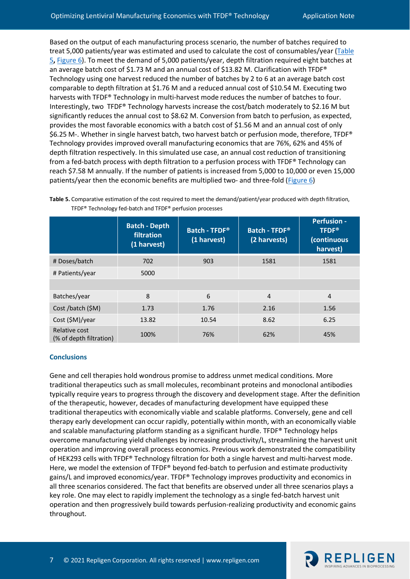Based on the output of each manufacturing process scenario, the number of batches required to treat 5,000 patients/year was estimated and used to calculate the cost of consumables/year [\(Table](#page-6-0)  [5](#page-6-0)**,** [Figure 6\)](#page-5-1). To meet the demand of 5,000 patients/year, depth filtration required eight batches at an average batch cost of \$1.73 M and an annual cost of \$13.82 M. Clarification with TFDF® Technology using one harvest reduced the number of batches by 2 to 6 at an average batch cost comparable to depth filtration at \$1.76 M and a reduced annual cost of \$10.54 M. Executing two harvests with TFDF® Technology in multi-harvest mode reduces the number of batches to four. Interestingly, two TFDF® Technology harvests increase the cost/batch moderately to \$2.16 M but significantly reduces the annual cost to \$8.62 M. Conversion from batch to perfusion, as expected, provides the most favorable economics with a batch cost of \$1.56 M and an annual cost of only \$6.25 M-. Whether in single harvest batch, two harvest batch or perfusion mode, therefore, TFDF® Technology provides improved overall manufacturing economics that are 76%, 62% and 45% of depth filtration respectively. In this simulated use case, an annual cost reduction of transitioning from a fed-batch process with depth filtration to a perfusion process with TFDF® Technology can reach \$7.58 M annually. If the number of patients is increased from 5,000 to 10,000 or even 15,000 patients/year then the economic benefits are multiplied two- and three-fold [\(Figure 6\)](#page-5-1)

|                                          | <b>Batch - Depth</b><br>filtration<br>(1 harvest) | Batch - TFDF®<br>(1 harvest) | Batch - TFDF®<br>(2 harvests) | <b>Perfusion -</b><br><b>TFDF®</b><br>(continuous<br>harvest) |
|------------------------------------------|---------------------------------------------------|------------------------------|-------------------------------|---------------------------------------------------------------|
| # Doses/batch                            | 702                                               | 903                          | 1581                          | 1581                                                          |
| # Patients/year                          | 5000                                              |                              |                               |                                                               |
|                                          |                                                   |                              |                               |                                                               |
| Batches/year                             | 8                                                 | 6                            | $\overline{4}$                | 4                                                             |
| Cost /batch (\$M)                        | 1.73                                              | 1.76                         | 2.16                          | 1.56                                                          |
| Cost (\$M)/year                          | 13.82                                             | 10.54                        | 8.62                          | 6.25                                                          |
| Relative cost<br>(% of depth filtration) | 100%                                              | 76%                          | 62%                           | 45%                                                           |

<span id="page-6-0"></span>

| Table 5. Comparative estimation of the cost required to meet the demand/patient/year produced with depth filtration, |  |
|----------------------------------------------------------------------------------------------------------------------|--|
| TFDF <sup>®</sup> Technology fed-batch and TFDF <sup>®</sup> perfusion processes                                     |  |

## **Conclusions**

Gene and cell therapies hold wondrous promise to address unmet medical conditions. More traditional therapeutics such as small molecules, recombinant proteins and monoclonal antibodies typically require years to progress through the discovery and development stage. After the definition of the therapeutic, however, decades of manufacturing development have equipped these traditional therapeutics with economically viable and scalable platforms. Conversely, gene and cell therapy early development can occur rapidly, potentially within month, with an economically viable and scalable manufacturing platform standing as a significant hurdle. TFDF® Technology helps overcome manufacturing yield challenges by increasing productivity/L, streamlining the harvest unit operation and improving overall process economics. Previous work demonstrated the compatibility of HEK293 cells with TFDF® Technology filtration for both a single harvest and multi-harvest mode. Here, we model the extension of TFDF® beyond fed-batch to perfusion and estimate productivity gains/L and improved economics/year. TFDF® Technology improves productivity and economics in all three scenarios considered. The fact that benefits are observed under all three scenarios plays a key role. One may elect to rapidly implement the technology as a single fed-batch harvest unit operation and then progressively build towards perfusion-realizing productivity and economic gains throughout.